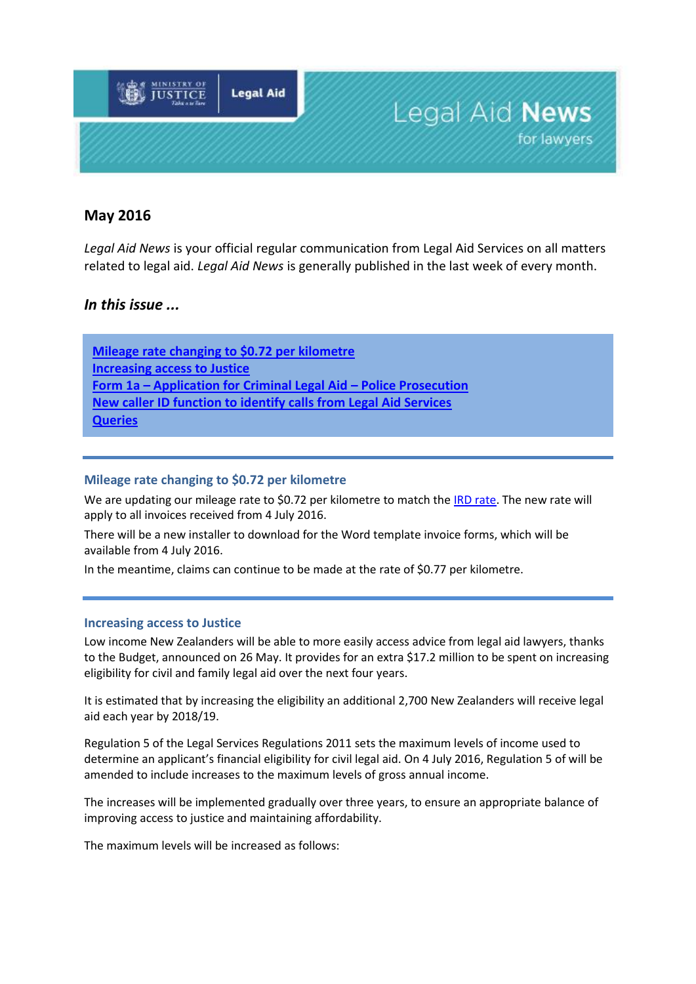

# **May 2016**

*Legal Aid News* is your official regular communication from Legal Aid Services on all matters related to legal aid. *Legal Aid News* is generally published in the last week of every month.

## *In this issue ...*

**[Mileage rate changing to \\$0.72 per kilometre](#page-0-0) [Increasing access to Justice](#page-0-1) Form 1a – [Application for Criminal Legal Aid](#page-1-0) – Police Prosecution [New caller ID function to identify calls from Legal Aid Services](#page-1-1) Queries**

#### <span id="page-0-0"></span>**Mileage rate changing to \$0.72 per kilometre**

We are updating our mileage rate to \$0.72 per kilometre to match the [IRD rate.](http://www.ird.govt.nz/technical-tax/op-statements/os-review-milage-rate-2016.html) The new rate will apply to all invoices received from 4 July 2016.

There will be a new installer to download for the Word template invoice forms, which will be available from 4 July 2016.

In the meantime, claims can continue to be made at the rate of \$0.77 per kilometre.

#### <span id="page-0-1"></span>**Increasing access to Justice**

Low income New Zealanders will be able to more easily access advice from legal aid lawyers, thanks to the Budget, announced on 26 May. It provides for an extra \$17.2 million to be spent on increasing eligibility for civil and family legal aid over the next four years.

It is estimated that by increasing the eligibility an additional 2,700 New Zealanders will receive legal aid each year by 2018/19.

Regulation 5 of the Legal Services Regulations 2011 sets the maximum levels of income used to determine an applicant's financial eligibility for civil legal aid. On 4 July 2016, Regulation 5 of will be amended to include increases to the maximum levels of gross annual income.

The increases will be implemented gradually over three years, to ensure an appropriate balance of improving access to justice and maintaining affordability.

The maximum levels will be increased as follows: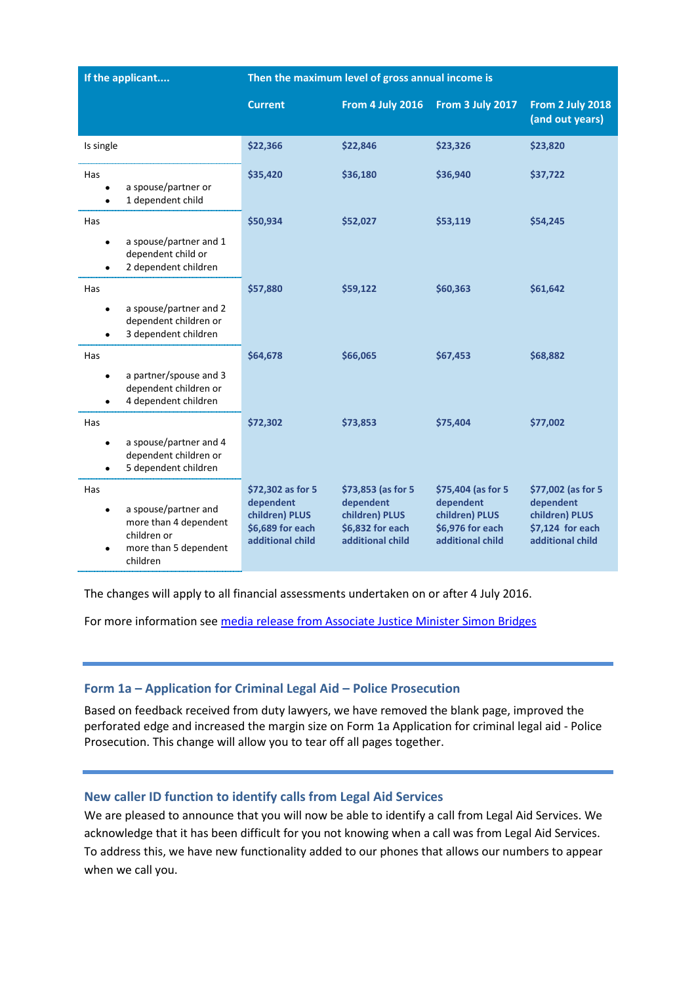| If the applicant                                                                                                      | Then the maximum level of gross annual income is                                         |                                                                                           |                                                                                            |                                                                                           |
|-----------------------------------------------------------------------------------------------------------------------|------------------------------------------------------------------------------------------|-------------------------------------------------------------------------------------------|--------------------------------------------------------------------------------------------|-------------------------------------------------------------------------------------------|
|                                                                                                                       | <b>Current</b>                                                                           | From 4 July 2016                                                                          | From 3 July 2017                                                                           | From 2 July 2018<br>(and out years)                                                       |
| Is single                                                                                                             | \$22,366                                                                                 | \$22,846                                                                                  | \$23,326                                                                                   | \$23,820                                                                                  |
| Has<br>a spouse/partner or<br>1 dependent child                                                                       | \$35,420                                                                                 | \$36,180                                                                                  | \$36,940                                                                                   | \$37,722                                                                                  |
| Has<br>a spouse/partner and 1<br>dependent child or<br>2 dependent children                                           | \$50,934                                                                                 | \$52,027                                                                                  | \$53,119                                                                                   | \$54,245                                                                                  |
| Has<br>a spouse/partner and 2<br>$\bullet$<br>dependent children or<br>3 dependent children                           | \$57,880                                                                                 | \$59,122                                                                                  | \$60,363                                                                                   | \$61,642                                                                                  |
| Has<br>a partner/spouse and 3<br>$\bullet$<br>dependent children or<br>4 dependent children                           | \$64,678                                                                                 | \$66,065                                                                                  | \$67,453                                                                                   | \$68,882                                                                                  |
| Has<br>a spouse/partner and 4<br>$\bullet$<br>dependent children or<br>5 dependent children                           | \$72,302                                                                                 | \$73,853                                                                                  | \$75,404                                                                                   | \$77,002                                                                                  |
| Has<br>a spouse/partner and<br>$\bullet$<br>more than 4 dependent<br>children or<br>more than 5 dependent<br>children | \$72,302 as for 5<br>dependent<br>children) PLUS<br>\$6,689 for each<br>additional child | \$73,853 (as for 5<br>dependent<br>children) PLUS<br>\$6,832 for each<br>additional child | \$75,404 (as for 5)<br>dependent<br>children) PLUS<br>\$6,976 for each<br>additional child | \$77,002 (as for 5<br>dependent<br>children) PLUS<br>\$7,124 for each<br>additional child |

The changes will apply to all financial assessments undertaken on or after 4 July 2016.

For more information see [media release from Associate Justice Minister Simon Bridges](https://www.beehive.govt.nz/release/96m-legal-aid-and-community-law-centres)

### <span id="page-1-0"></span>**Form 1a – Application for Criminal Legal Aid – Police Prosecution**

Based on feedback received from duty lawyers, we have removed the blank page, improved the perforated edge and increased the margin size o[n Form 1a Application for criminal legal aid -](http://www.justice.govt.nz/services/service-providers/information-for-legal-professionals/information-for-legal-aid-providers/documents/forms/current/form-1a-police-prosecution) Police [Prosecution.](http://www.justice.govt.nz/services/service-providers/information-for-legal-professionals/information-for-legal-aid-providers/documents/forms/current/form-1a-police-prosecution) This change will allow you to tear off all pages together.

### <span id="page-1-1"></span>**New caller ID function to identify calls from Legal Aid Services**

We are pleased to announce that you will now be able to identify a call from Legal Aid Services. We acknowledge that it has been difficult for you not knowing when a call was from Legal Aid Services. To address this, we have new functionality added to our phones that allows our numbers to appear when we call you.